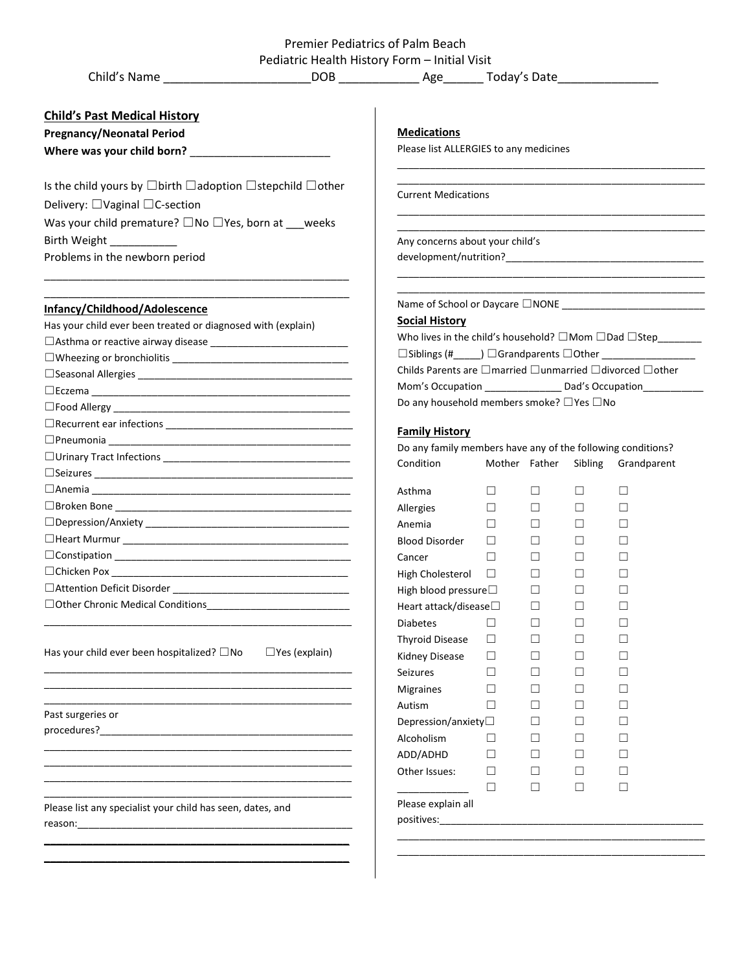|                                                                                                                                                       | Premier Pediatrics of Palm Beach                                                        |                                        |               |         |             |  |
|-------------------------------------------------------------------------------------------------------------------------------------------------------|-----------------------------------------------------------------------------------------|----------------------------------------|---------------|---------|-------------|--|
| Child's Name <b>DOB</b> DOB Age Today's Date                                                                                                          | Pediatric Health History Form - Initial Visit                                           |                                        |               |         |             |  |
|                                                                                                                                                       |                                                                                         |                                        |               |         |             |  |
| <b>Child's Past Medical History</b>                                                                                                                   |                                                                                         |                                        |               |         |             |  |
| <b>Pregnancy/Neonatal Period</b>                                                                                                                      | <b>Medications</b>                                                                      |                                        |               |         |             |  |
|                                                                                                                                                       |                                                                                         | Please list ALLERGIES to any medicines |               |         |             |  |
|                                                                                                                                                       |                                                                                         |                                        |               |         |             |  |
| Is the child yours by $\Box$ birth $\Box$ adoption $\Box$ stepchild $\Box$ other                                                                      |                                                                                         | <b>Current Medications</b>             |               |         |             |  |
| Delivery: $\Box$ Vaginal $\Box$ C-section                                                                                                             |                                                                                         |                                        |               |         |             |  |
| Was your child premature? $\square$ No $\square$ Yes, born at ___ weeks                                                                               |                                                                                         |                                        |               |         |             |  |
| Birth Weight ____________                                                                                                                             | Any concerns about your child's                                                         |                                        |               |         |             |  |
| Problems in the newborn period                                                                                                                        |                                                                                         |                                        |               |         |             |  |
|                                                                                                                                                       |                                                                                         |                                        |               |         |             |  |
| Infancy/Childhood/Adolescence                                                                                                                         | Name of School or Daycare $\square$ NONE                                                |                                        |               |         |             |  |
| Has your child ever been treated or diagnosed with (explain)                                                                                          | <b>Social History</b>                                                                   |                                        |               |         |             |  |
|                                                                                                                                                       | Who lives in the child's household? $\square$ Mom $\square$ Dad $\square$ Step_________ |                                        |               |         |             |  |
|                                                                                                                                                       |                                                                                         |                                        |               |         |             |  |
|                                                                                                                                                       | Childs Parents are □married □unmarried □divorced □other                                 |                                        |               |         |             |  |
|                                                                                                                                                       |                                                                                         |                                        |               |         |             |  |
|                                                                                                                                                       | Do any household members smoke? □ Yes □ No                                              |                                        |               |         |             |  |
|                                                                                                                                                       | <b>Family History</b>                                                                   |                                        |               |         |             |  |
|                                                                                                                                                       | Do any family members have any of the following conditions?                             |                                        |               |         |             |  |
|                                                                                                                                                       | Condition                                                                               |                                        | Mother Father | Sibling | Grandparent |  |
|                                                                                                                                                       |                                                                                         |                                        |               |         |             |  |
|                                                                                                                                                       | Asthma                                                                                  | $\Box$                                 | $\Box$        | $\Box$  | □           |  |
|                                                                                                                                                       | Allergies                                                                               | $\Box$                                 | $\Box$        | □       | □           |  |
|                                                                                                                                                       | Anemia                                                                                  | $\Box$                                 | $\Box$        | ш       | $\Box$      |  |
|                                                                                                                                                       | Blood Disorder                                                                          | $\Box$                                 | П             | П       | П           |  |
|                                                                                                                                                       | Cancer                                                                                  | $\Box$                                 | $\Box$        | ш       | Ш           |  |
|                                                                                                                                                       | High Cholesterol                                                                        | $\Box$                                 | $\Box$        | $\Box$  | $\Box$      |  |
| □ Attention Deficit Disorder<br><u> 2000 - Jan James James James James James James James James James James James James James James James James Ja</u> | High blood pressure                                                                     |                                        | $\Box$        | ш       | $\Box$      |  |
|                                                                                                                                                       | Heart attack/disease□                                                                   |                                        | □             | $\Box$  | $\Box$      |  |
|                                                                                                                                                       | <b>Diabetes</b>                                                                         | $\Box$                                 | $\Box$        | ш       | $\Box$      |  |
|                                                                                                                                                       | <b>Thyroid Disease</b>                                                                  | $\Box$                                 | $\Box$        | $\Box$  | $\Box$      |  |
| Has your child ever been hospitalized? $\Box$ No<br>$\Box$ Yes (explain)                                                                              | Kidney Disease                                                                          | $\Box$                                 | $\Box$        | $\Box$  | □           |  |
|                                                                                                                                                       | <b>Seizures</b>                                                                         | $\Box$                                 | □             | $\Box$  | □           |  |
|                                                                                                                                                       | Migraines                                                                               | $\Box$                                 | $\Box$        | $\Box$  | □           |  |
|                                                                                                                                                       | Autism                                                                                  | $\Box$                                 | □             | ш       | $\Box$      |  |
| Past surgeries or                                                                                                                                     |                                                                                         |                                        | $\Box$        | $\Box$  | □           |  |
|                                                                                                                                                       | Depression/anxiety $\square$<br>Alcoholism                                              |                                        |               |         |             |  |
|                                                                                                                                                       |                                                                                         | $\Box$                                 | $\Box$        | ш       | $\Box$      |  |
|                                                                                                                                                       | ADD/ADHD                                                                                | $\Box$                                 | $\Box$        | $\Box$  | □           |  |
|                                                                                                                                                       | Other Issues:                                                                           | $\Box$                                 | $\Box$        | Ш       | $\Box$      |  |
|                                                                                                                                                       |                                                                                         | $\Box$                                 | $\Box$        | $\Box$  | $\Box$      |  |
| Please list any specialist your child has seen, dates, and                                                                                            | Please explain all                                                                      |                                        |               |         |             |  |
|                                                                                                                                                       |                                                                                         |                                        |               |         |             |  |
|                                                                                                                                                       |                                                                                         |                                        |               |         |             |  |

 $\mathbf{I}$